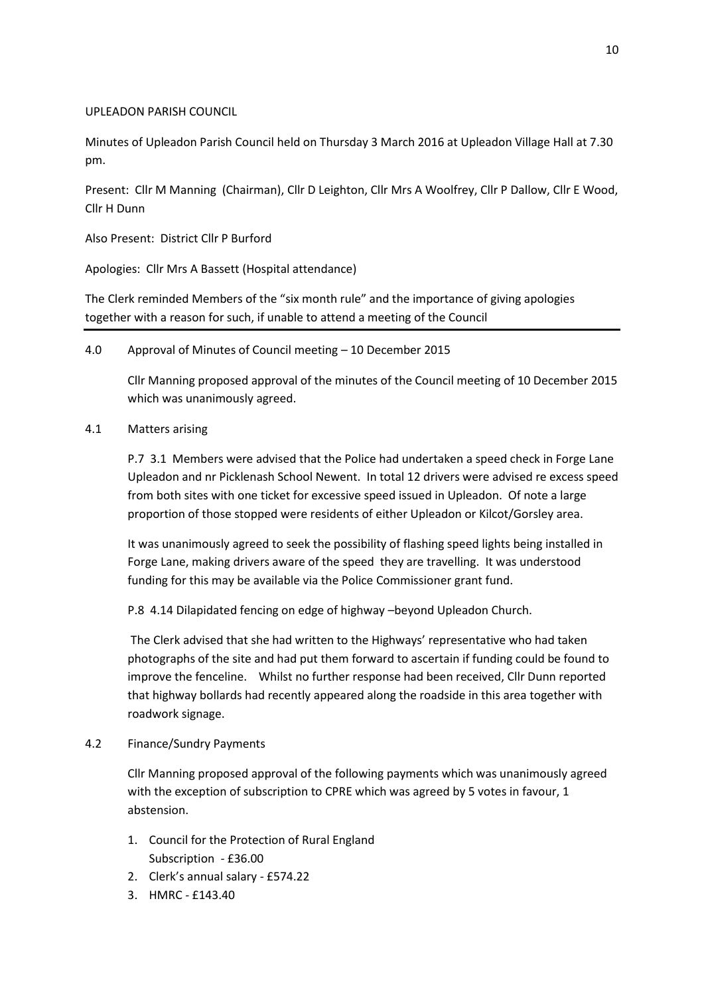# UPLEADON PARISH COUNCIL

Minutes of Upleadon Parish Council held on Thursday 3 March 2016 at Upleadon Village Hall at 7.30 pm.

Present: Cllr M Manning (Chairman), Cllr D Leighton, Cllr Mrs A Woolfrey, Cllr P Dallow, Cllr E Wood, Cllr H Dunn

Also Present: District Cllr P Burford

Apologies: Cllr Mrs A Bassett (Hospital attendance)

The Clerk reminded Members of the "six month rule" and the importance of giving apologies together with a reason for such, if unable to attend a meeting of the Council

4.0 Approval of Minutes of Council meeting – 10 December 2015

Cllr Manning proposed approval of the minutes of the Council meeting of 10 December 2015 which was unanimously agreed.

4.1 Matters arising

P.7 3.1 Members were advised that the Police had undertaken a speed check in Forge Lane Upleadon and nr Picklenash School Newent. In total 12 drivers were advised re excess speed from both sites with one ticket for excessive speed issued in Upleadon. Of note a large proportion of those stopped were residents of either Upleadon or Kilcot/Gorsley area.

It was unanimously agreed to seek the possibility of flashing speed lights being installed in Forge Lane, making drivers aware of the speed they are travelling. It was understood funding for this may be available via the Police Commissioner grant fund.

P.8 4.14 Dilapidated fencing on edge of highway –beyond Upleadon Church.

The Clerk advised that she had written to the Highways' representative who had taken photographs of the site and had put them forward to ascertain if funding could be found to improve the fenceline. Whilst no further response had been received, Cllr Dunn reported that highway bollards had recently appeared along the roadside in this area together with roadwork signage.

4.2 Finance/Sundry Payments

Cllr Manning proposed approval of the following payments which was unanimously agreed with the exception of subscription to CPRE which was agreed by 5 votes in favour, 1 abstension.

- 1. Council for the Protection of Rural England Subscription - £36.00
- 2. Clerk's annual salary £574.22
- 3. HMRC £143.40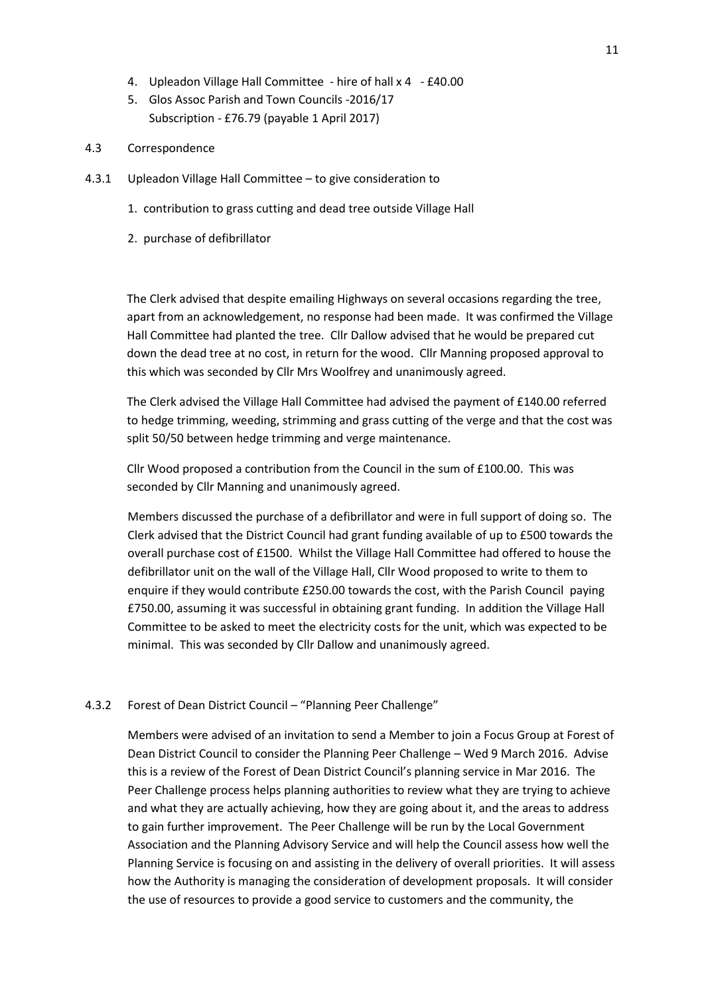- 4. Upleadon Village Hall Committee hire of hall x 4 £40.00
- 5. Glos Assoc Parish and Town Councils -2016/17 Subscription - £76.79 (payable 1 April 2017)
- 4.3 Correspondence
- 4.3.1 Upleadon Village Hall Committee to give consideration to
	- 1. contribution to grass cutting and dead tree outside Village Hall
	- 2. purchase of defibrillator

The Clerk advised that despite emailing Highways on several occasions regarding the tree, apart from an acknowledgement, no response had been made. It was confirmed the Village Hall Committee had planted the tree. Cllr Dallow advised that he would be prepared cut down the dead tree at no cost, in return for the wood. Cllr Manning proposed approval to this which was seconded by Cllr Mrs Woolfrey and unanimously agreed.

The Clerk advised the Village Hall Committee had advised the payment of £140.00 referred to hedge trimming, weeding, strimming and grass cutting of the verge and that the cost was split 50/50 between hedge trimming and verge maintenance.

Cllr Wood proposed a contribution from the Council in the sum of £100.00. This was seconded by Cllr Manning and unanimously agreed.

Members discussed the purchase of a defibrillator and were in full support of doing so. The Clerk advised that the District Council had grant funding available of up to £500 towards the overall purchase cost of £1500. Whilst the Village Hall Committee had offered to house the defibrillator unit on the wall of the Village Hall, Cllr Wood proposed to write to them to enquire if they would contribute £250.00 towards the cost, with the Parish Council paying £750.00, assuming it was successful in obtaining grant funding. In addition the Village Hall Committee to be asked to meet the electricity costs for the unit, which was expected to be minimal. This was seconded by Cllr Dallow and unanimously agreed.

## 4.3.2 Forest of Dean District Council – "Planning Peer Challenge"

Members were advised of an invitation to send a Member to join a Focus Group at Forest of Dean District Council to consider the Planning Peer Challenge – Wed 9 March 2016. Advise this is a review of the Forest of Dean District Council's planning service in Mar 2016. The Peer Challenge process helps planning authorities to review what they are trying to achieve and what they are actually achieving, how they are going about it, and the areas to address to gain further improvement. The Peer Challenge will be run by the Local Government Association and the Planning Advisory Service and will help the Council assess how well the Planning Service is focusing on and assisting in the delivery of overall priorities. It will assess how the Authority is managing the consideration of development proposals. It will consider the use of resources to provide a good service to customers and the community, the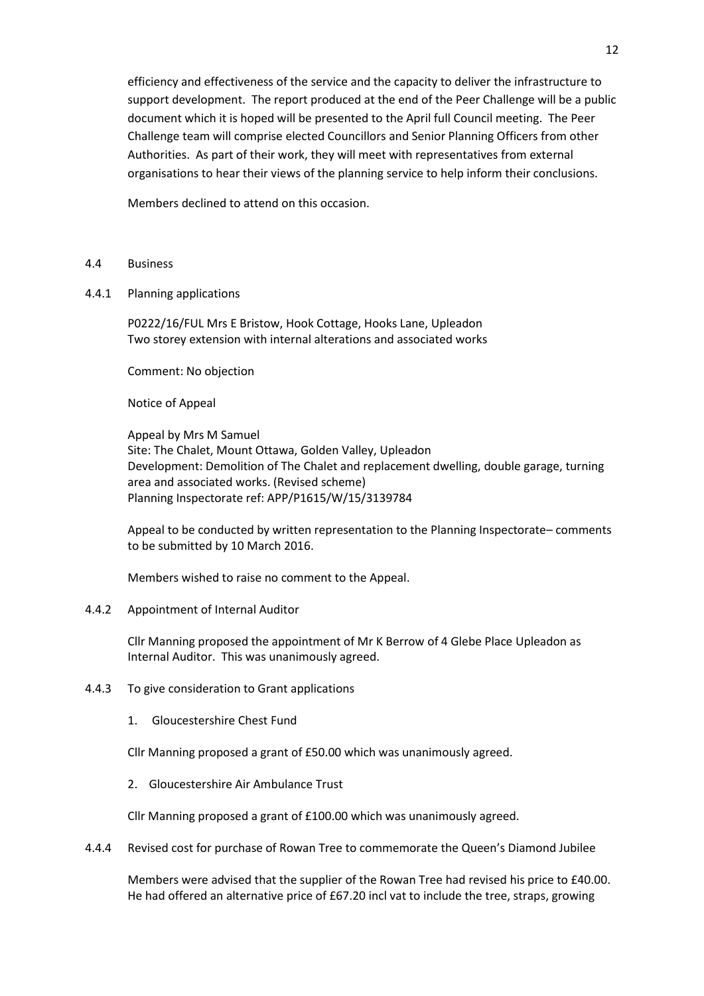efficiency and effectiveness of the service and the capacity to deliver the infrastructure to support development. The report produced at the end of the Peer Challenge will be a public document which it is hoped will be presented to the April full Council meeting. The Peer Challenge team will comprise elected Councillors and Senior Planning Officers from other Authorities. As part of their work, they will meet with representatives from external organisations to hear their views of the planning service to help inform their conclusions.

Members declined to attend on this occasion.

- 4.4 Business
- 4.4.1 Planning applications

P0222/16/FUL Mrs E Bristow, Hook Cottage, Hooks Lane, Upleadon Two storey extension with internal alterations and associated works

Comment: No objection

Notice of Appeal

Appeal by Mrs M Samuel Site: The Chalet, Mount Ottawa, Golden Valley, Upleadon Development: Demolition of The Chalet and replacement dwelling, double garage, turning area and associated works. (Revised scheme) Planning Inspectorate ref: APP/P1615/W/15/3139784

Appeal to be conducted by written representation to the Planning Inspectorate– comments to be submitted by 10 March 2016.

Members wished to raise no comment to the Appeal.

### 4.4.2 Appointment of Internal Auditor

Cllr Manning proposed the appointment of Mr K Berrow of 4 Glebe Place Upleadon as Internal Auditor. This was unanimously agreed.

- 4.4.3 To give consideration to Grant applications
	- 1. Gloucestershire Chest Fund

Cllr Manning proposed a grant of £50.00 which was unanimously agreed.

2. Gloucestershire Air Ambulance Trust

Cllr Manning proposed a grant of £100.00 which was unanimously agreed.

4.4.4 Revised cost for purchase of Rowan Tree to commemorate the Queen's Diamond Jubilee

Members were advised that the supplier of the Rowan Tree had revised his price to £40.00. He had offered an alternative price of £67.20 incl vat to include the tree, straps, growing